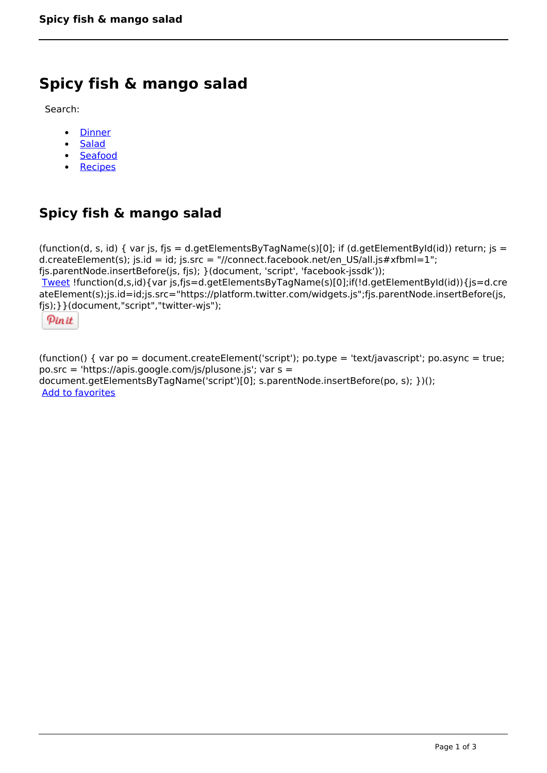## **Spicy fish & mango salad**

Search:

- **[Dinner](https://www.naturalhealthmag.com.au/nourish/dinner-ideas)**  $\bullet$
- [Salad](https://www.naturalhealthmag.com.au/nourish/salads)  $\bullet$
- **[Seafood](https://www.naturalhealthmag.com.au/nourish/seafood)**
- [Recipes](https://www.naturalhealthmag.com.au/nourish/recipes)

## **Spicy fish & mango salad**

(function(d, s, id) { var js, fjs = d.getElementsByTagName(s)[0]; if (d.getElementById(id)) return; js = d.createElement(s); js.id = id; js.src = "//connect.facebook.net/en\_US/all.js#xfbml=1"; fjs.parentNode.insertBefore(js, fjs); }(document, 'script', 'facebook-jssdk')); [Tweet](https://twitter.com/share) !function(d,s,id){var js,fjs=d.getElementsByTagName(s)[0];if(!d.getElementById(id)){js=d.cre ateElement(s);js.id=id;js.src="https://platform.twitter.com/widgets.js";fjs.parentNode.insertBefore(js, fjs);}}(document,"script","twitter-wjs");

Pinit

(function() { var po = document.createElement('script'); po.type = 'text/javascript'; po.async = true; po.src = 'https://apis.google.com/js/plusone.js'; var s = document.getElementsByTagName('script')[0]; s.parentNode.insertBefore(po, s); })(); Add to favorites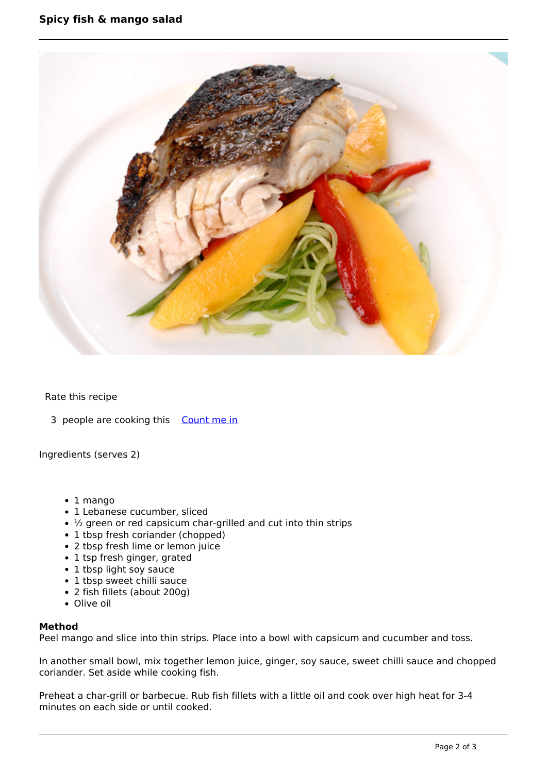

## Rate this recipe

3 people are cooking this [Count me in](https://www.naturalhealthmag.com.au/flag/flag/favorites/612?destination=printpdf%2F612&token=308b86762bd65c58cbca84ce0f57c9f9)

Ingredients (serves 2)

- 1 mango
- 1 Lebanese cucumber, sliced
- $\cdot$  ½ green or red capsicum char-grilled and cut into thin strips
- 1 tbsp fresh coriander (chopped)
- 2 tbsp fresh lime or lemon juice
- 1 tsp fresh ginger, grated
- 1 tbsp light soy sauce
- 1 tbsp sweet chilli sauce
- 2 fish fillets (about 200g)
- Olive oil

## **Method**

Peel mango and slice into thin strips. Place into a bowl with capsicum and cucumber and toss.

In another small bowl, mix together lemon juice, ginger, soy sauce, sweet chilli sauce and chopped coriander. Set aside while cooking fish.

Preheat a char-grill or barbecue. Rub fish fillets with a little oil and cook over high heat for 3-4 minutes on each side or until cooked.